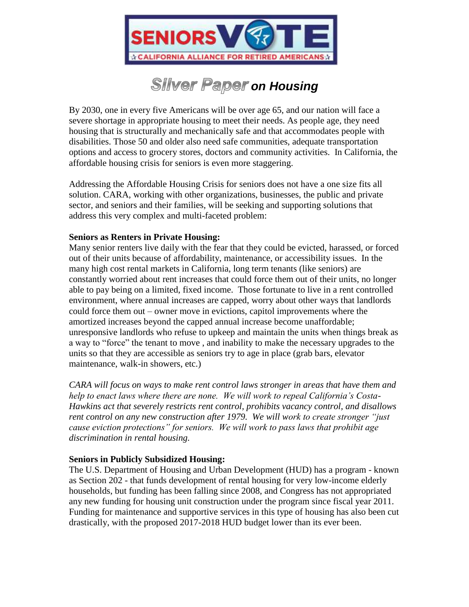

# **Silver Paper on Housing**

By 2030, one in every five Americans will be over age 65, and our nation will face a severe shortage in appropriate housing to meet their needs. As people age, they need housing that is structurally and mechanically safe and that accommodates people with disabilities. Those 50 and older also need safe communities, adequate transportation options and access to grocery stores, doctors and community activities. In California, the affordable housing crisis for seniors is even more staggering.

Addressing the Affordable Housing Crisis for seniors does not have a one size fits all solution. CARA, working with other organizations, businesses, the public and private sector, and seniors and their families, will be seeking and supporting solutions that address this very complex and multi-faceted problem:

## **Seniors as Renters in Private Housing:**

Many senior renters live daily with the fear that they could be evicted, harassed, or forced out of their units because of affordability, maintenance, or accessibility issues. In the many high cost rental markets in California, long term tenants (like seniors) are constantly worried about rent increases that could force them out of their units, no longer able to pay being on a limited, fixed income. Those fortunate to live in a rent controlled environment, where annual increases are capped, worry about other ways that landlords could force them out – owner move in evictions, capitol improvements where the amortized increases beyond the capped annual increase become unaffordable; unresponsive landlords who refuse to upkeep and maintain the units when things break as a way to "force" the tenant to move , and inability to make the necessary upgrades to the units so that they are accessible as seniors try to age in place (grab bars, elevator maintenance, walk-in showers, etc.)

*CARA will focus on ways to make rent control laws stronger in areas that have them and help to enact laws where there are none. We will work to repeal California's Costa-Hawkins act that severely restricts rent control, prohibits vacancy control, and disallows rent control on any new construction after 1979. We will work to create stronger "just cause eviction protections" for seniors. We will work to pass laws that prohibit age discrimination in rental housing.*

# **Seniors in Publicly Subsidized Housing:**

The U.S. Department of Housing and Urban Development (HUD) has a program - known as Section 202 - that funds development of rental housing for very low-income elderly households, but funding has been falling since 2008, and Congress has not appropriated any new funding for housing unit construction under the program since fiscal year 2011. Funding for maintenance and supportive services in this type of housing has also been cut drastically, with the proposed 2017-2018 HUD budget lower than its ever been.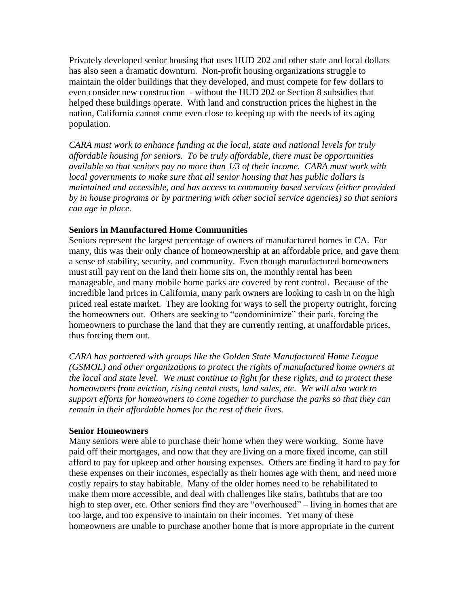Privately developed senior housing that uses HUD 202 and other state and local dollars has also seen a dramatic downturn. Non-profit housing organizations struggle to maintain the older buildings that they developed, and must compete for few dollars to even consider new construction - without the HUD 202 or Section 8 subsidies that helped these buildings operate. With land and construction prices the highest in the nation, California cannot come even close to keeping up with the needs of its aging population.

*CARA must work to enhance funding at the local, state and national levels for truly affordable housing for seniors. To be truly affordable, there must be opportunities available so that seniors pay no more than 1/3 of their income. CARA must work with local governments to make sure that all senior housing that has public dollars is maintained and accessible, and has access to community based services (either provided by in house programs or by partnering with other social service agencies) so that seniors can age in place.*

#### **Seniors in Manufactured Home Communities**

Seniors represent the largest percentage of owners of manufactured homes in CA. For many, this was their only chance of homeownership at an affordable price, and gave them a sense of stability, security, and community. Even though manufactured homeowners must still pay rent on the land their home sits on, the monthly rental has been manageable, and many mobile home parks are covered by rent control. Because of the incredible land prices in California, many park owners are looking to cash in on the high priced real estate market. They are looking for ways to sell the property outright, forcing the homeowners out. Others are seeking to "condominimize" their park, forcing the homeowners to purchase the land that they are currently renting, at unaffordable prices, thus forcing them out.

*CARA has partnered with groups like the Golden State Manufactured Home League (GSMOL) and other organizations to protect the rights of manufactured home owners at the local and state level. We must continue to fight for these rights, and to protect these homeowners from eviction, rising rental costs, land sales, etc. We will also work to support efforts for homeowners to come together to purchase the parks so that they can remain in their affordable homes for the rest of their lives.*

#### **Senior Homeowners**

Many seniors were able to purchase their home when they were working. Some have paid off their mortgages, and now that they are living on a more fixed income, can still afford to pay for upkeep and other housing expenses. Others are finding it hard to pay for these expenses on their incomes, especially as their homes age with them, and need more costly repairs to stay habitable. Many of the older homes need to be rehabilitated to make them more accessible, and deal with challenges like stairs, bathtubs that are too high to step over, etc. Other seniors find they are "overhoused" – living in homes that are too large, and too expensive to maintain on their incomes. Yet many of these homeowners are unable to purchase another home that is more appropriate in the current